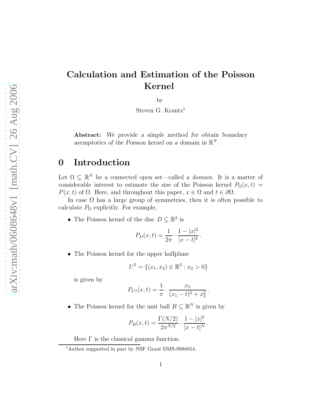# Calculation and Estimation of the Poisson Kernel

by

Steven G. Krantz<sup>1</sup>

Abstract: We provide a simple method for obtain boundary asymptotics of the Poisson kernel on a domain in  $\mathbb{R}^N$ .

### 0 Introduction

Let  $\Omega \subseteq \mathbb{R}^N$  be a connected open set—called a *domain*. It is a matter of considerable interest to estimate the size of the Poisson kernel  $P_{\Omega}(x,t)$  =  $P(x, t)$  of  $\Omega$ . Here, and throughout this paper,  $x \in \Omega$  and  $t \in \partial\Omega$ .

In case  $\Omega$  has a large group of symmetries, then it is often possible to calculate  $P_{\Omega}$  explicitly. For example,

• The Poisson kernel of the disc  $D \subseteq \mathbb{R}^2$  is

$$
P_D(x,t) = \frac{1}{2\pi} \cdot \frac{1 - |x|^2}{|x - t|^2}.
$$

• The Poisson kernel for the upper halfplane

$$
U^2 = \{(x_1, x_2) \in \mathbb{R}^2 : x_2 > 0\}
$$

is given by

$$
P_{U^2}(x,t) = \frac{1}{\pi} \cdot \frac{x_2}{(x_1 - t)^2 + x_2^2}.
$$

• The Poisson kernel for the unit ball  $B \subseteq \mathbb{R}^N$  is given by

$$
P_B(x,t) = \frac{\Gamma(N/2)}{2\pi^{N/2}} \cdot \frac{1 - |x|^2}{|x - t|^N}.
$$

Here  $\Gamma$  is the classical gamma function.

<sup>&</sup>lt;sup>1</sup>Author supported in part by NSF Grant DMS-9988854.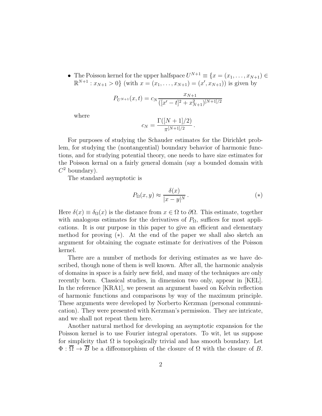• The Poisson kernel for the upper halfspace  $U^{N+1} \equiv \{x = (x_1, \ldots, x_{N+1}) \in$  $\mathbb{R}^{N+1}: x_{N+1} > 0$  (with  $x = (x_1, \ldots, x_{N+1}) = (x', x_{N+1})$ ) is given by

$$
P_{U^{N+1}}(x,t) = c_N \frac{x_{N+1}}{([x'-t]^2 + x_{N+1}^2)^{[N+1]/2}}
$$

where

$$
c_N = \frac{\Gamma([N+1]/2)}{\pi^{[N+1]/2}}
$$

For purposes of studying the Schauder estimates for the Dirichlet problem, for studying the (nontangential) boundary behavior of harmonic functions, and for studying potential theory, one needs to have size estimates for the Poisson kernal on a fairly general domain (say a bounded domain with  $C^2$  boundary).

The standard asymptotic is

$$
P_{\Omega}(x, y) \approx \frac{\delta(x)}{|x - y|^N}.
$$
\n
$$
(*)
$$

.

Here  $\delta(x) \equiv \delta_{\Omega}(x)$  is the distance from  $x \in \Omega$  to  $\partial\Omega$ . This estimate, together with analogous estimates for the derivatives of  $P_{\Omega}$ , suffices for most applications. It is our purpose in this paper to give an efficient and elementary method for proving  $(*)$ . At the end of the paper we shall also sketch an argument for obtaining the cognate estimate for derivatives of the Poisson kernel.

There are a number of methods for deriving estimates as we have described, though none of them is well known. After all, the harmonic analysis of domains in space is a fairly new field, and many of the techniques are only recently born. Classical studies, in dimension two only, appear in [KEL]. In the reference [KRA1], we present an argument based on Kelvin reflection of harmonic functions and comparisons by way of the maximum principle. These arguments were developed by Norberto Kerzman (personal communication). They were presented with Kerzman's permission. They are intricate, and we shall not repeat them here.

Another natural method for developing an asymptotic expansion for the Poisson kernel is to use Fourier integral operators. To wit, let us suppose for simplicity that  $\Omega$  is topologically trivial and has smooth boundary. Let  $\Phi : \overline{\Omega} \to \overline{B}$  be a diffeomorphism of the closure of  $\Omega$  with the closure of B.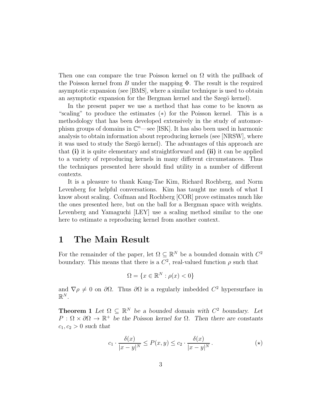Then one can compare the true Poisson kernel on  $\Omega$  with the pullback of the Poisson kernel from B under the mapping  $\Phi$ . The result is the required asymptotic expansion (see [BMS], where a similar technique is used to obtain an asymptotic expansion for the Bergman kernel and the Szegö kernel).

In the present paper we use a method that has come to be known as "scaling" to produce the estimates (∗) for the Poisson kernel. This is a methodology that has been developed extensively in the study of automorphism groups of domains in  $\mathbb{C}^n$ —see [ISK]. It has also been used in harmonic analysis to obtain information about reproducing kernels (see [NRSW], where it was used to study the Szegö kernel). The advantages of this approach are that (i) it is quite elementary and straightforward and (ii) it can be applied to a variety of reproducing kernels in many different circumstances. Thus the techniques presented here should find utility in a number of different contexts.

It is a pleasure to thank Kang-Tae Kim, Richard Rochberg, and Norm Levenberg for helpful conversations. Kim has taught me much of what I know about scaling. Coifman and Rochberg [COR] prove estimates much like the ones presented here, but on the ball for a Bergman space with weights. Levenberg and Yamaguchi [LEY] use a scaling method similar to the one here to estimate a reproducing kernel from another context.

### 1 The Main Result

For the remainder of the paper, let  $\Omega \subseteq \mathbb{R}^N$  be a bounded domain with  $C^2$ boundary. This means that there is a  $C^2$ , real-valued function  $\rho$  such that

$$
\Omega = \{ x \in \mathbb{R}^N : \rho(x) < 0 \}
$$

and  $\nabla \rho \neq 0$  on  $\partial \Omega$ . Thus  $\partial \Omega$  is a regularly imbedded  $C^2$  hypersurface in  $\mathbb{R}^N$ .

**Theorem 1** Let  $\Omega \subseteq \mathbb{R}^N$  be a bounded domain with  $C^2$  boundary. Let  $P: \Omega \times \partial \Omega \to \mathbb{R}^+$  be the Poisson kernel for  $\Omega$ . Then there are constants  $c_1, c_2 > 0$  such that

$$
c_1 \cdot \frac{\delta(x)}{|x - y|^N} \le P(x, y) \le c_2 \cdot \frac{\delta(x)}{|x - y|^N}.
$$
 (\*)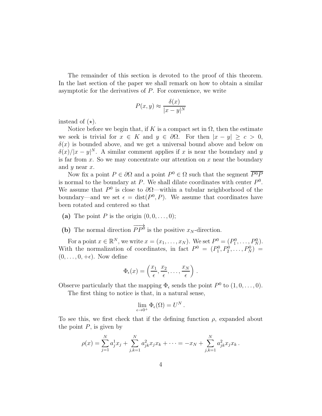The remainder of this section is devoted to the proof of this theorem. In the last section of the paper we shall remark on how to obtain a similar asymptotic for the derivatives of  $P$ . For convenience, we write

$$
P(x, y) \approx \frac{\delta(x)}{|x - y|^N}
$$

instead of  $(\star)$ .

Notice before we begin that, if K is a compact set in  $\Omega$ , then the estimate we seek is trivial for  $x \in K$  and  $y \in \partial \Omega$ . For then  $|x - y| \geq c > 0$ ,  $\delta(x)$  is bounded above, and we get a universal bound above and below on  $\delta(x)/|x-y|^N$ . A similar comment applies if x is near the boundary and y is far from x. So we may concentrate our attention on x near the boundary and  $y$  near  $x$ .

Now fix a point  $P \in \partial\Omega$  and a point  $P^0 \in \Omega$  such that the segment  $\overline{P^0P}$ is normal to the boundary at  $P$ . We shall dilate coordinates with center  $P^0$ . We assume that  $P^0$  is close to  $\partial\Omega$ —within a tubular neighborhood of the boundary—and we set  $\epsilon = \text{dist}(P^0, P)$ . We assume that coordinates have been rotated and centered so that

- (a) The point P is the origin  $(0, 0, \ldots, 0)$ ;
- (b) The normal direction  $\overrightarrow{PP}$  is the positive  $x_N$ -direction.

For a point  $x \in \mathbb{R}^N$ , we write  $x = (x_1, ..., x_N)$ . We set  $P^0 = (P_1^0, ..., P_N^0)$ . With the normalization of coordinates, in fact  $P^0 = (P_1^0, P_2^0, \ldots, P_N^0) =$  $(0, \ldots, 0, +\epsilon)$ . Now define

$$
\Phi_{\epsilon}(x) = \left(\frac{x_1}{\epsilon}, \frac{x_2}{\epsilon}, \ldots, \frac{x_N}{\epsilon}\right).
$$

Observe particularly that the mapping  $\Phi_{\epsilon}$  sends the point  $P^0$  to  $(1,0,\ldots,0)$ .

The first thing to notice is that, in a natural sense,

$$
\lim_{\epsilon \to 0^+} \Phi_{\epsilon}(\Omega) = U^N.
$$

To see this, we first check that if the defining function  $\rho$ , expanded about the point  $P$ , is given by

$$
\rho(x) = \sum_{j=1}^{N} a_j^1 x_j + \sum_{j,k=1}^{N} a_{jk}^2 x_j x_k + \dots = -x_N + \sum_{j,k=1}^{N} a_{jk}^2 x_j x_k.
$$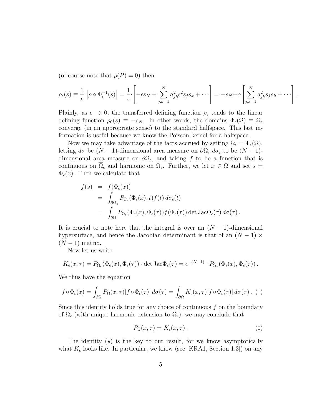(of course note that  $\rho(P) = 0$ ) then

$$
\rho_{\epsilon}(s) \equiv \frac{1}{\epsilon} \cdot \left[ \rho \circ \Phi_{\epsilon}^{-1}(s) \right] = \frac{1}{\epsilon} \cdot \left[ -\epsilon s_N + \sum_{j,k=1}^{N} a_{jk}^2 \epsilon^2 s_j s_k + \cdots \right] = -s_N + \epsilon \cdot \left[ \sum_{j,k=1}^{N} a_{jk}^2 s_j s_k + \cdots \right].
$$

Plainly, as  $\epsilon \to 0$ , the transferred defining function  $\rho_{\epsilon}$  tends to the linear defining function  $\rho_0(s) \equiv -s_N$ . In other words, the domains  $\Phi_{\epsilon}(\Omega) \equiv \Omega_{\epsilon}$ converge (in an appropriate sense) to the standard halfspace. This last information is useful because we know the Poisson kernel for a halfspace.

Now we may take advantage of the facts accrued by setting  $\Omega_{\epsilon} = \Phi_{\epsilon}(\Omega)$ , letting  $d\sigma$  be  $(N-1)$ -dimensional area measure on  $\partial\Omega$ ,  $d\sigma_{\epsilon}$  to be  $(N-1)$ dimensional area measure on  $\partial\Omega_{\epsilon}$ , and taking f to be a function that is continuous on  $\Omega_{\epsilon}$  and harmonic on  $\Omega_{\epsilon}$ . Further, we let  $x \in \Omega$  and set  $s =$  $\Phi_{\epsilon}(x)$ . Then we calculate that

$$
f(s) = f(\Phi_{\epsilon}(x))
$$
  
= 
$$
\int_{\partial\Omega_{\epsilon}} P_{\Omega_{\epsilon}}(\Phi_{\epsilon}(x), t) f(t) d\sigma_{\epsilon}(t)
$$
  
= 
$$
\int_{\partial\Omega} P_{\Omega_{\epsilon}}(\Phi_{\epsilon}(x), \Phi_{\epsilon}(\tau)) f(\Phi_{\epsilon}(\tau)) \det \text{Jac}\Phi_{\epsilon}(\tau) d\sigma(\tau).
$$

It is crucial to note here that the integral is over an  $(N-1)$ -dimensional hypersurface, and hence the Jacobian determinant is that of an  $(N-1) \times$  $(N-1)$  matrix.

Now let us write

$$
K_{\epsilon}(x,\tau) = P_{\Omega_{\epsilon}}(\Phi_{\epsilon}(x),\Phi_{\epsilon}(\tau)) \cdot \det \operatorname{Jac} \Phi_{\epsilon}(\tau) = \epsilon^{-(N-1)} \cdot P_{\Omega_{\epsilon}}(\Phi_{\epsilon}(x),\Phi_{\epsilon}(\tau)).
$$

We thus have the equation

$$
f \circ \Phi_{\epsilon}(x) = \int_{\partial \Omega} P_{\Omega}(x, \tau) [f \circ \Phi_{\epsilon}(\tau)] d\sigma(\tau) = \int_{\partial \Omega} K_{\epsilon}(x, \tau) [f \circ \Phi_{\epsilon}(\tau)] d\sigma(\tau). \tag{\dagger}
$$

Since this identity holds true for any choice of continuous  $f$  on the boundary of  $\Omega_{\epsilon}$  (with unique harmonic extension to  $\Omega_{\epsilon}$ ), we may conclude that

$$
P_{\Omega}(x,\tau) = K_{\epsilon}(x,\tau). \tag{†}
$$

The identity  $(x)$  is the key to our result, for we know asymptotically what  $K_{\epsilon}$  looks like. In particular, we know (see [KRA1, Section 1.3]) on any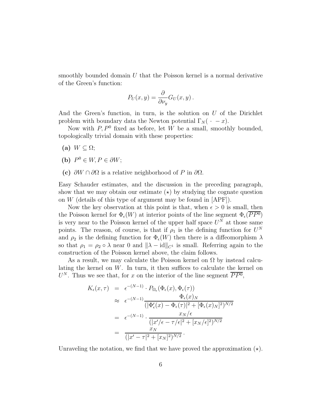smoothly bounded domain  $U$  that the Poisson kernel is a normal derivative of the Green's function:

$$
P_U(x,y) = \frac{\partial}{\partial \nu_y} G_U(x,y) .
$$

And the Green's function, in turn, is the solution on  $U$  of the Dirichlet problem with boundary data the Newton potential  $\Gamma_N(\cdot - x)$ .

Now with  $P, P<sup>0</sup>$  fixed as before, let W be a small, smoothly bounded, topologically trivial domain with these properties:

- (a)  $W \subset \Omega$ ;
- (**b**)  $P^0 \in W, P \in \partial W;$
- (c)  $\partial W \cap \partial \Omega$  is a relative neighborhood of P in  $\partial \Omega$ .

Easy Schauder estimates, and the discussion in the preceding paragraph, show that we may obtain our estimate  $(\star)$  by studying the cognate question on  $W$  (details of this type of argument may be found in  $[APF]$ ).

Now the key observation at this point is that, when  $\epsilon > 0$  is small, then the Poisson kernel for  $\Phi_{\epsilon}(W)$  at interior points of the line segment  $\Phi_{\epsilon}(PP^0)$ is very near to the Poisson kernel of the upper half space  $U^N$  at those same points. The reason, of course, is that if  $\rho_1$  is the defining function for  $U^N$ and  $\rho_2$  is the defining function for  $\Phi_{\epsilon}(W)$  then there is a diffeomorphism  $\lambda$ so that  $\rho_1 = \rho_2 \circ \lambda$  near 0 and  $\|\lambda - id\|_{C^1}$  is small. Referring again to the construction of the Poisson kernel above, the claim follows.

As a result, we may calculate the Poisson kernel on  $\Omega$  by instead calculating the kernel on  $W$ . In turn, it then suffices to calculate the kernel on  $U^N$ . Thus we see that, for x on the interior of the line segment  $\overline{PP^0}$ ,

$$
K_{\epsilon}(x,\tau) = \epsilon^{-(N-1)} \cdot P_{\Omega_{\epsilon}}(\Phi_{\epsilon}(x), \Phi_{\epsilon}(\tau))
$$
  
\n
$$
\approx \epsilon^{-(N-1)} \frac{\Phi_{\epsilon}(x)_N}{(|\Phi'_{\epsilon}(x) - \Phi_{\epsilon}(\tau)|^2 + [\Phi_{\epsilon}(x)_N]^2)^{N/2}}
$$
  
\n
$$
= \epsilon^{-(N-1)} \cdot \frac{x_N/\epsilon}{(|x' / \epsilon - \tau / \epsilon|^2 + [x_N / \epsilon]^2)^{N/2}}
$$
  
\n
$$
= \frac{x_N}{(|x' - \tau|^2 + [x_N]^2)^{N/2}}.
$$

Unraveling the notation, we find that we have proved the approximation  $(\star)$ .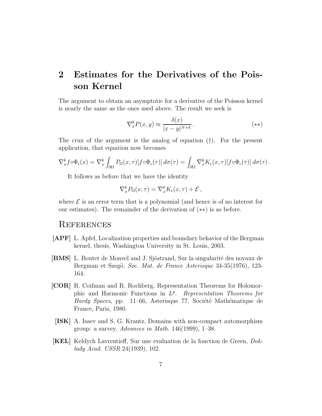## 2 Estimates for the Derivatives of the Poisson Kernel

The argument to obtain an asymptotic for a derivative of the Poisson kernel is nearly the same as the ones used above. The result we seek is

$$
\nabla_x^k P(x, y) \approx \frac{\delta(x)}{|x - y|^{N+k}}.
$$
\n
$$
(**)
$$

The crux of the argument is the analog of equation (†). For the present application, that equation now becomes

$$
\nabla_x^k f \circ \Phi_\epsilon(x) = \nabla_x^k \int_{\partial \Omega} P_\Omega(x, \tau) [f \circ \Phi_\epsilon(\tau)] d\sigma(\tau) = \int_{\partial \Omega} \nabla_x^k K_\epsilon(x, \tau) [f \circ \Phi_\epsilon(\tau)] d\sigma(\tau).
$$

It follows as before that we have the identity

$$
\nabla_x^k P_{\Omega}(x,\tau) = \nabla_x^k K_{\epsilon}(x,\tau) + \mathcal{E},
$$

where  $\mathcal E$  is an error term that is a polynomial (and hence is of no interest for our estimates). The remainder of the derivation of (∗∗) is as before.

#### **REFERENCES**

- [APF] L. Apfel, Localization properties and boundary behavior of the Bergman kernel, thesis, Washington University in St. Louis, 2003.
- [BMS] L. Boutet de Monvel and J. Sjöstrand, Sur la singularité des noyaux de Bergman et Szegö, Soc. Mat. de France Asterisque 34-35(1976), 123-164.
- [COR] R. Coifman and R. Rochberg, Representation Theorems for Holomorphic and Harmonic Functions in  $L^p$ . Representation Theorems for Hardy Spaces, pp. 11–66, Asterisque 77, Société Mathématique de France, Paris, 1980.
- [ISK] A. Isaev and S. G. Krantz, Domains with non-compact automorphism group: a survey,  $Advances\ in\ Math.$  146(1999), 1–38.
- [KEL] Keldych Lavrentieff, Sur une evaluation de la fonction de Green, Doklady Acad. USSR 24(1939), 102.